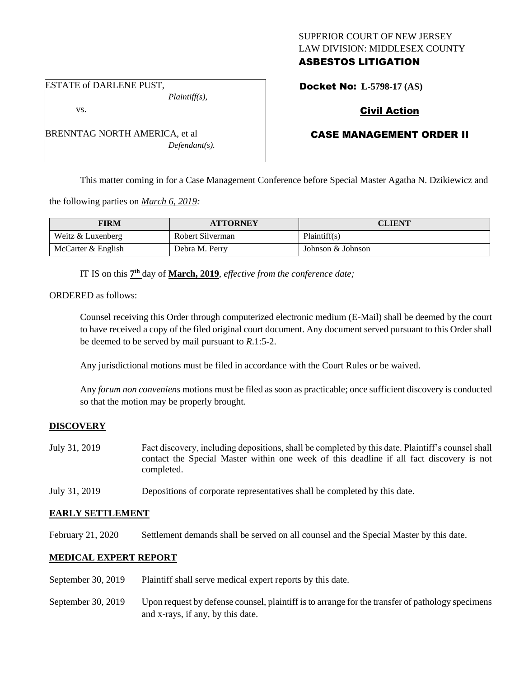## SUPERIOR COURT OF NEW JERSEY LAW DIVISION: MIDDLESEX COUNTY ASBESTOS LITIGATION

ESTATE of DARLENE PUST, *Plaintiff(s),*

vs.

BRENNTAG NORTH AMERICA, et al *Defendant(s).*

# Docket No: **L-5798-17 (AS)**

# Civil Action

# CASE MANAGEMENT ORDER II

This matter coming in for a Case Management Conference before Special Master Agatha N. Dzikiewicz and

the following parties on *March 6, 2019:*

| <b>FIRM</b>         | <b>ATTORNEY</b>  | CLIENT            |
|---------------------|------------------|-------------------|
| Weitz $&$ Luxenberg | Robert Silverman | Plaintiff(s)      |
| McCarter & English  | Debra M. Perry   | Johnson & Johnson |

IT IS on this  $7<sup>th</sup>$  day of **March, 2019**, *effective from the conference date*;

ORDERED as follows:

Counsel receiving this Order through computerized electronic medium (E-Mail) shall be deemed by the court to have received a copy of the filed original court document. Any document served pursuant to this Order shall be deemed to be served by mail pursuant to *R*.1:5-2.

Any jurisdictional motions must be filed in accordance with the Court Rules or be waived.

Any *forum non conveniens* motions must be filed as soon as practicable; once sufficient discovery is conducted so that the motion may be properly brought.

## **DISCOVERY**

- July 31, 2019 Fact discovery, including depositions, shall be completed by this date. Plaintiff's counsel shall contact the Special Master within one week of this deadline if all fact discovery is not completed.
- July 31, 2019 Depositions of corporate representatives shall be completed by this date.

## **EARLY SETTLEMENT**

February 21, 2020 Settlement demands shall be served on all counsel and the Special Master by this date.

## **MEDICAL EXPERT REPORT**

- September 30, 2019 Plaintiff shall serve medical expert reports by this date.
- September 30, 2019 Upon request by defense counsel, plaintiff is to arrange for the transfer of pathology specimens and x-rays, if any, by this date.